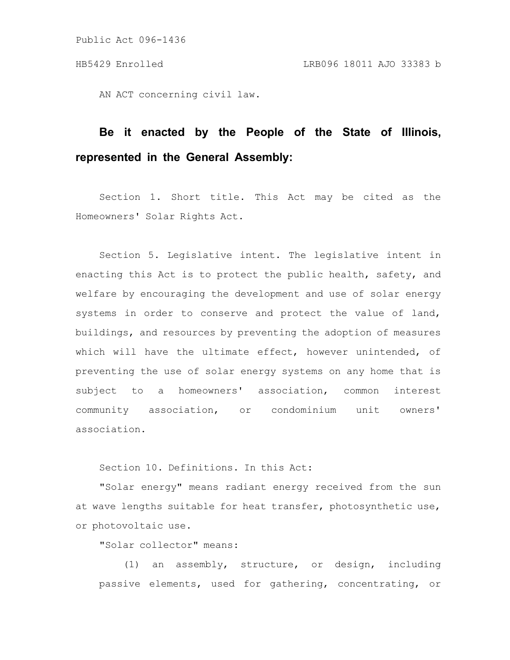AN ACT concerning civil law.

## **Be it enacted by the People of the State of Illinois, represented in the General Assembly:**

Section 1. Short title. This Act may be cited as the Homeowners' Solar Rights Act.

Section 5. Legislative intent. The legislative intent in enacting this Act is to protect the public health, safety, and welfare by encouraging the development and use of solar energy systems in order to conserve and protect the value of land, buildings, and resources by preventing the adoption of measures which will have the ultimate effect, however unintended, of preventing the use of solar energy systems on any home that is subject to a homeowners' association, common interest community association, or condominium unit owners' association.

Section 10. Definitions. In this Act:

"Solar energy" means radiant energy received from the sun at wave lengths suitable for heat transfer, photosynthetic use, or photovoltaic use.

"Solar collector" means:

(1) an assembly, structure, or design, including passive elements, used for gathering, concentrating, or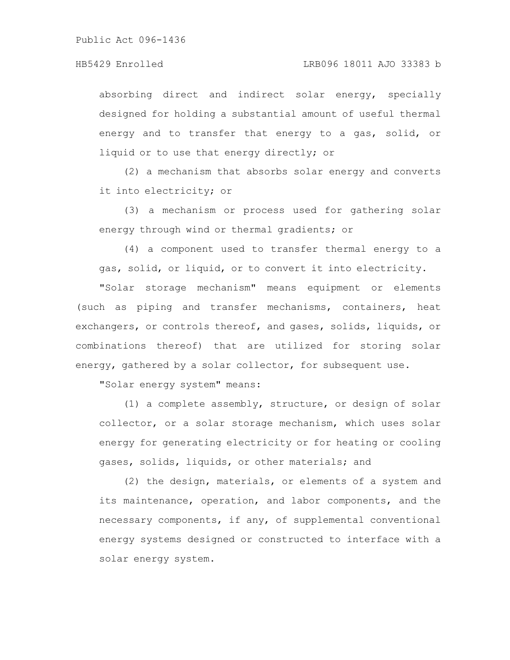absorbing direct and indirect solar energy, specially designed for holding a substantial amount of useful thermal energy and to transfer that energy to a gas, solid, or liquid or to use that energy directly; or

(2) a mechanism that absorbs solar energy and converts it into electricity; or

(3) a mechanism or process used for gathering solar energy through wind or thermal gradients; or

(4) a component used to transfer thermal energy to a gas, solid, or liquid, or to convert it into electricity.

"Solar storage mechanism" means equipment or elements (such as piping and transfer mechanisms, containers, heat exchangers, or controls thereof, and gases, solids, liquids, or combinations thereof) that are utilized for storing solar energy, gathered by a solar collector, for subsequent use.

"Solar energy system" means:

(1) a complete assembly, structure, or design of solar collector, or a solar storage mechanism, which uses solar energy for generating electricity or for heating or cooling gases, solids, liquids, or other materials; and

(2) the design, materials, or elements of a system and its maintenance, operation, and labor components, and the necessary components, if any, of supplemental conventional energy systems designed or constructed to interface with a solar energy system.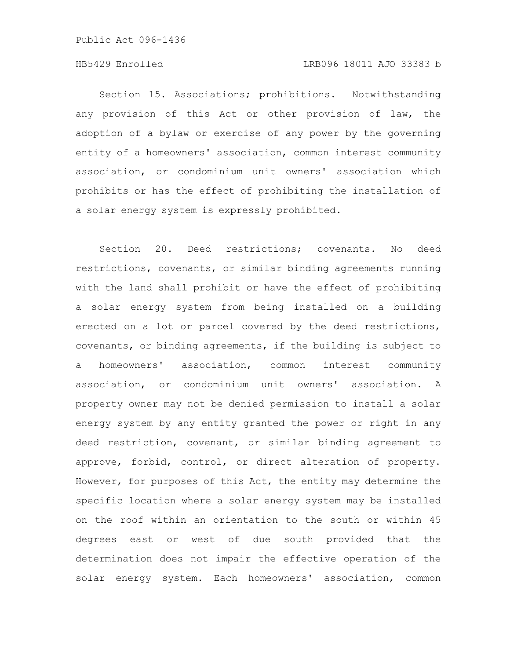## HB5429 Enrolled LRB096 18011 AJO 33383 b

Section 15. Associations; prohibitions. Notwithstanding any provision of this Act or other provision of law, the adoption of a bylaw or exercise of any power by the governing entity of a homeowners' association, common interest community association, or condominium unit owners' association which prohibits or has the effect of prohibiting the installation of a solar energy system is expressly prohibited.

Section 20. Deed restrictions; covenants. No deed restrictions, covenants, or similar binding agreements running with the land shall prohibit or have the effect of prohibiting a solar energy system from being installed on a building erected on a lot or parcel covered by the deed restrictions, covenants, or binding agreements, if the building is subject to a homeowners' association, common interest community association, or condominium unit owners' association. A property owner may not be denied permission to install a solar energy system by any entity granted the power or right in any deed restriction, covenant, or similar binding agreement to approve, forbid, control, or direct alteration of property. However, for purposes of this Act, the entity may determine the specific location where a solar energy system may be installed on the roof within an orientation to the south or within 45 degrees east or west of due south provided that the determination does not impair the effective operation of the solar energy system. Each homeowners' association, common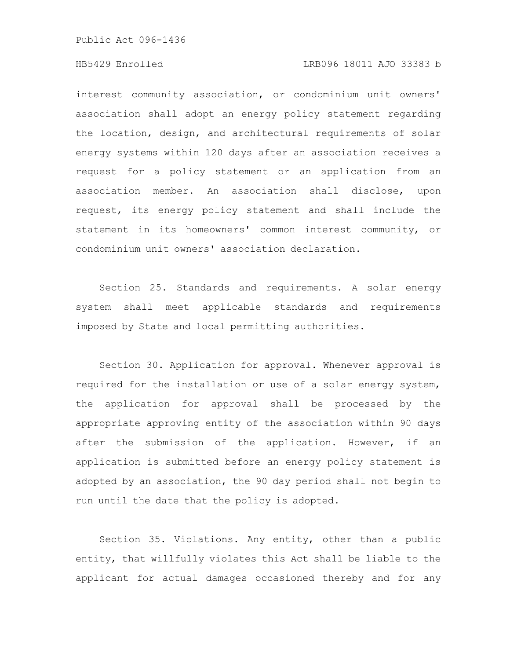## HB5429 Enrolled LRB096 18011 AJO 33383 b

interest community association, or condominium unit owners' association shall adopt an energy policy statement regarding the location, design, and architectural requirements of solar energy systems within 120 days after an association receives a request for a policy statement or an application from an association member. An association shall disclose, upon request, its energy policy statement and shall include the statement in its homeowners' common interest community, or condominium unit owners' association declaration.

Section 25. Standards and requirements. A solar energy system shall meet applicable standards and requirements imposed by State and local permitting authorities.

Section 30. Application for approval. Whenever approval is required for the installation or use of a solar energy system, the application for approval shall be processed by the appropriate approving entity of the association within 90 days after the submission of the application. However, if an application is submitted before an energy policy statement is adopted by an association, the 90 day period shall not begin to run until the date that the policy is adopted.

Section 35. Violations. Any entity, other than a public entity, that willfully violates this Act shall be liable to the applicant for actual damages occasioned thereby and for any